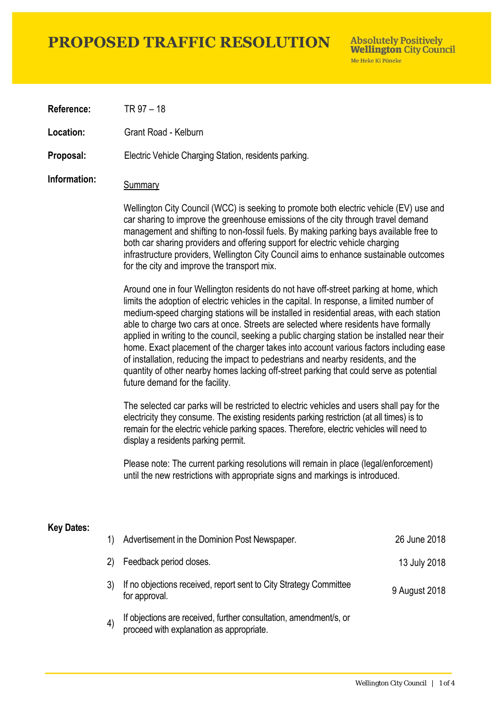## **PROPOSED TRAFFIC RESOLUTION**

**Absolutely Positively Wellington City Council** Me Heke Ki Pôneke

**Reference:** TR 97 – 18

**Location:** Grant Road - Kelburn

**Proposal:** Electric Vehicle Charging Station, residents parking.

## **Information:** Summary

Wellington City Council (WCC) is seeking to promote both electric vehicle (EV) use and car sharing to improve the greenhouse emissions of the city through travel demand management and shifting to non-fossil fuels. By making parking bays available free to both car sharing providers and offering support for electric vehicle charging infrastructure providers, Wellington City Council aims to enhance sustainable outcomes for the city and improve the transport mix.

Around one in four Wellington residents do not have off-street parking at home, which limits the adoption of electric vehicles in the capital. In response, a limited number of medium-speed charging stations will be installed in residential areas, with each station able to charge two cars at once. Streets are selected where residents have formally applied in writing to the council, seeking a public charging station be installed near their home. Exact placement of the charger takes into account various factors including ease of installation, reducing the impact to pedestrians and nearby residents, and the quantity of other nearby homes lacking off-street parking that could serve as potential future demand for the facility.

The selected car parks will be restricted to electric vehicles and users shall pay for the electricity they consume. The existing residents parking restriction (at all times) is to remain for the electric vehicle parking spaces. Therefore, electric vehicles will need to display a residents parking permit.

Please note: The current parking resolutions will remain in place (legal/enforcement) until the new restrictions with appropriate signs and markings is introduced.

#### **Key Dates:**

| 1) | Advertisement in the Dominion Post Newspaper.                                                                 | 26 June 2018  |
|----|---------------------------------------------------------------------------------------------------------------|---------------|
| 2) | Feedback period closes.                                                                                       | 13 July 2018  |
|    | If no objections received, report sent to City Strategy Committee<br>for approval.                            | 9 August 2018 |
|    | If objections are received, further consultation, amendment/s, or<br>proceed with explanation as appropriate. |               |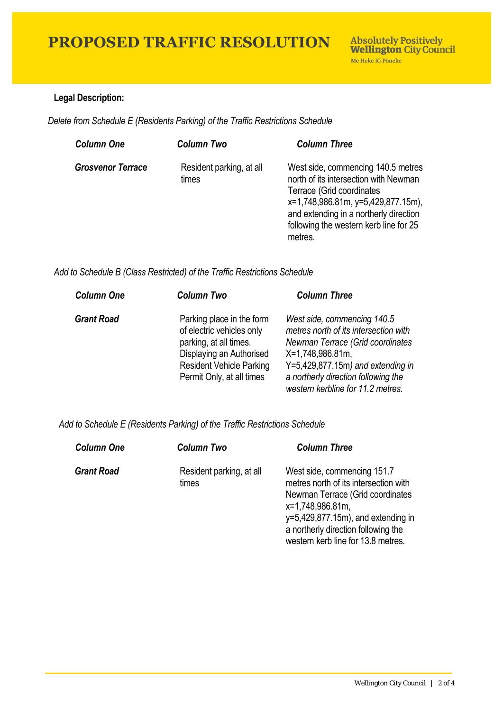### **Legal Description:**

*Delete from Schedule E (Residents Parking) of the Traffic Restrictions Schedule* 

| <b>Column One</b>        | <b>Column Two</b>                 | <b>Column Three</b>                                                                                                                                                                                                                           |
|--------------------------|-----------------------------------|-----------------------------------------------------------------------------------------------------------------------------------------------------------------------------------------------------------------------------------------------|
| <b>Grosvenor Terrace</b> | Resident parking, at all<br>times | West side, commencing 140.5 metres<br>north of its intersection with Newman<br>Terrace (Grid coordinates<br>x=1,748,986.81m, y=5,429,877.15m),<br>and extending in a northerly direction<br>following the western kerb line for 25<br>metres. |

*Add to Schedule B (Class Restricted) of the Traffic Restrictions Schedule* 

| <b>Column One</b> | <b>Column Two</b>                                                                                                                                                            | <b>Column Three</b>                                                                                                                                                                                                                              |
|-------------------|------------------------------------------------------------------------------------------------------------------------------------------------------------------------------|--------------------------------------------------------------------------------------------------------------------------------------------------------------------------------------------------------------------------------------------------|
| <b>Grant Road</b> | Parking place in the form<br>of electric vehicles only<br>parking, at all times.<br>Displaying an Authorised<br><b>Resident Vehicle Parking</b><br>Permit Only, at all times | West side, commencing 140.5<br>metres north of its intersection with<br>Newman Terrace (Grid coordinates<br>X=1,748,986.81m,<br>$Y=5,429,877.15m$ ) and extending in<br>a northerly direction following the<br>western kerbline for 11.2 metres. |

 *Add to Schedule E (Residents Parking) of the Traffic Restrictions Schedule* 

| <b>Column One</b> | <b>Column Two</b>                 | <b>Column Three</b>                                                                                                                                                                                                                               |
|-------------------|-----------------------------------|---------------------------------------------------------------------------------------------------------------------------------------------------------------------------------------------------------------------------------------------------|
| <b>Grant Road</b> | Resident parking, at all<br>times | West side, commencing 151.7<br>metres north of its intersection with<br>Newman Terrace (Grid coordinates<br>x=1,748,986.81m,<br>$y=5,429,877.15m$ , and extending in<br>a northerly direction following the<br>western kerb line for 13.8 metres. |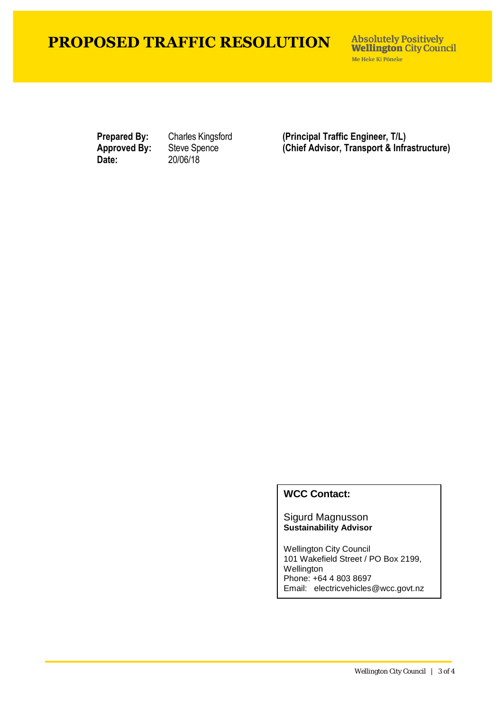# **PROPOSED TRAFFIC RESOLUTION**

**Absolutely Positively Wellington City Council** Me Heke Ki Pôneke

**Date:** 20/06/18

**Prepared By:** Charles Kingsford (Principal Traffic Engineer, T/L)<br> **Approved By:** Steve Spence (Chief Advisor, Transport & Infra Steve Spence **(Chief Advisor, Transport & Infrastructure)** 

### **WCC Contact:**

Sigurd Magnusson **Sustainability Advisor**

Wellington City Council 101 Wakefield Street / PO Box 2199, Wellington Phone: +64 4 803 8697 Email: electricvehicles@wcc.govt.nz